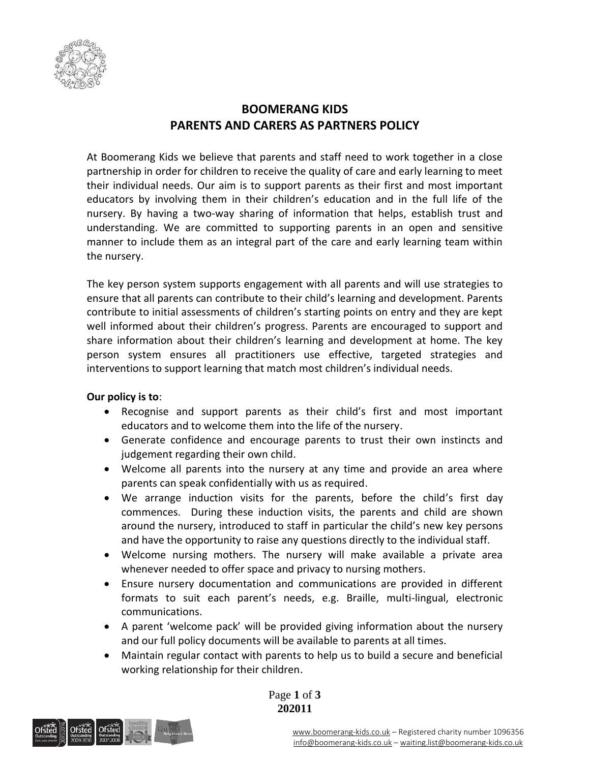

## **BOOMERANG KIDS PARENTS AND CARERS AS PARTNERS POLICY**

At Boomerang Kids we believe that parents and staff need to work together in a close partnership in order for children to receive the quality of care and early learning to meet their individual needs. Our aim is to support parents as their first and most important educators by involving them in their children's education and in the full life of the nursery. By having a two-way sharing of information that helps, establish trust and understanding. We are committed to supporting parents in an open and sensitive manner to include them as an integral part of the care and early learning team within the nursery.

The key person system supports engagement with all parents and will use strategies to ensure that all parents can contribute to their child's learning and development. Parents contribute to initial assessments of children's starting points on entry and they are kept well informed about their children's progress. Parents are encouraged to support and share information about their children's learning and development at home. The key person system ensures all practitioners use effective, targeted strategies and interventions to support learning that match most children's individual needs.

## **Our policy is to**:

- Recognise and support parents as their child's first and most important educators and to welcome them into the life of the nursery.
- Generate confidence and encourage parents to trust their own instincts and judgement regarding their own child.
- Welcome all parents into the nursery at any time and provide an area where parents can speak confidentially with us as required.
- We arrange induction visits for the parents, before the child's first day commences. During these induction visits, the parents and child are shown around the nursery, introduced to staff in particular the child's new key persons and have the opportunity to raise any questions directly to the individual staff.
- Welcome nursing mothers. The nursery will make available a private area whenever needed to offer space and privacy to nursing mothers.
- Ensure nursery documentation and communications are provided in different formats to suit each parent's needs, e.g. Braille, multi-lingual, electronic communications.
- A parent 'welcome pack' will be provided giving information about the nursery and our full policy documents will be available to parents at all times.
- Maintain regular contact with parents to help us to build a secure and beneficial working relationship for their children.

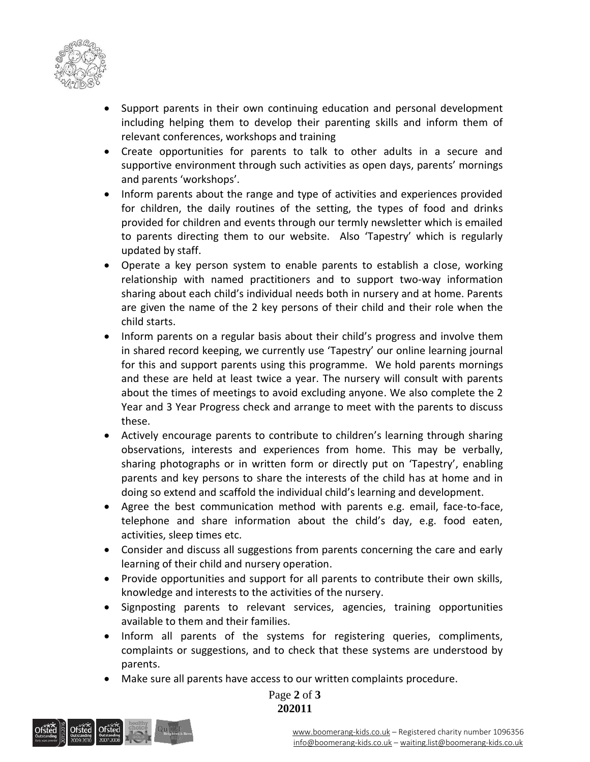

- Support parents in their own continuing education and personal development including helping them to develop their parenting skills and inform them of relevant conferences, workshops and training
- Create opportunities for parents to talk to other adults in a secure and supportive environment through such activities as open days, parents' mornings and parents 'workshops'.
- Inform parents about the range and type of activities and experiences provided for children, the daily routines of the setting, the types of food and drinks provided for children and events through our termly newsletter which is emailed to parents directing them to our website. Also 'Tapestry' which is regularly updated by staff.
- Operate a key person system to enable parents to establish a close, working relationship with named practitioners and to support two-way information sharing about each child's individual needs both in nursery and at home. Parents are given the name of the 2 key persons of their child and their role when the child starts.
- Inform parents on a regular basis about their child's progress and involve them in shared record keeping, we currently use 'Tapestry' our online learning journal for this and support parents using this programme. We hold parents mornings and these are held at least twice a year. The nursery will consult with parents about the times of meetings to avoid excluding anyone. We also complete the 2 Year and 3 Year Progress check and arrange to meet with the parents to discuss these.
- Actively encourage parents to contribute to children's learning through sharing observations, interests and experiences from home. This may be verbally, sharing photographs or in written form or directly put on 'Tapestry', enabling parents and key persons to share the interests of the child has at home and in doing so extend and scaffold the individual child's learning and development.
- Agree the best communication method with parents e.g. email, face-to-face, telephone and share information about the child's day, e.g. food eaten, activities, sleep times etc.
- Consider and discuss all suggestions from parents concerning the care and early learning of their child and nursery operation.
- Provide opportunities and support for all parents to contribute their own skills, knowledge and interests to the activities of the nursery.
- Signposting parents to relevant services, agencies, training opportunities available to them and their families.
- Inform all parents of the systems for registering queries, compliments, complaints or suggestions, and to check that these systems are understood by parents.
- Make sure all parents have access to our written complaints procedure.